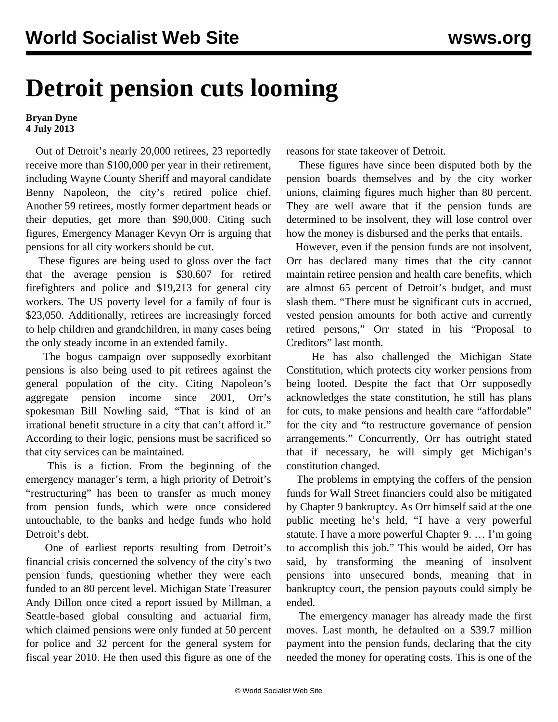## **Detroit pension cuts looming**

## **Bryan Dyne 4 July 2013**

 Out of Detroit's nearly 20,000 retirees, 23 reportedly receive more than \$100,000 per year in their retirement, including Wayne County Sheriff and mayoral candidate Benny Napoleon, the city's retired police chief. Another 59 retirees, mostly former department heads or their deputies, get more than \$90,000. Citing such figures, Emergency Manager Kevyn Orr is arguing that pensions for all city workers should be cut.

 These figures are being used to gloss over the fact that the average pension is \$30,607 for retired firefighters and police and \$19,213 for general city workers. The US poverty level for a family of four is \$23,050. Additionally, retirees are increasingly forced to help children and grandchildren, in many cases being the only steady income in an extended family.

 The bogus campaign over supposedly exorbitant pensions is also being used to pit retirees against the general population of the city. Citing Napoleon's aggregate pension income since 2001, Orr's spokesman Bill Nowling said, "That is kind of an irrational benefit structure in a city that can't afford it." According to their logic, pensions must be sacrificed so that city services can be maintained.

 This is a fiction. From the beginning of the emergency manager's term, a high priority of Detroit's "restructuring" has been to transfer as much money from pension funds, which were once considered untouchable, to the banks and hedge funds who hold Detroit's debt.

 One of earliest reports resulting from Detroit's financial crisis concerned the solvency of the city's two pension funds, questioning whether they were each funded to an 80 percent level. Michigan State Treasurer Andy Dillon once cited a report issued by Millman, a Seattle-based global consulting and actuarial firm, which claimed pensions were only funded at 50 percent for police and 32 percent for the general system for fiscal year 2010. He then used this figure as one of the

reasons for state takeover of Detroit.

 These figures have since been disputed both by the pension boards themselves and by the city worker unions, claiming figures much higher than 80 percent. They are well aware that if the pension funds are determined to be insolvent, they will lose control over how the money is disbursed and the perks that entails.

 However, even if the pension funds are not insolvent, Orr has declared many times that the city cannot maintain retiree pension and health care benefits, which are almost 65 percent of Detroit's budget, and must slash them. "There must be significant cuts in accrued, vested pension amounts for both active and currently retired persons," Orr stated in his "Proposal to Creditors" last month.

 He has also challenged the Michigan State Constitution, which protects city worker pensions from being looted. Despite the fact that Orr supposedly acknowledges the state constitution, he still has plans for cuts, to make pensions and health care "affordable" for the city and "to restructure governance of pension arrangements." Concurrently, Orr has outright stated that if necessary, he will simply get Michigan's constitution changed.

 The problems in emptying the coffers of the pension funds for Wall Street financiers could also be mitigated by Chapter 9 bankruptcy. As Orr himself said at the one public meeting he's held, "I have a very powerful statute. I have a more powerful Chapter 9. … I'm going to accomplish this job." This would be aided, Orr has said, by transforming the meaning of insolvent pensions into unsecured bonds, meaning that in bankruptcy court, the pension payouts could simply be ended.

 The emergency manager has already made the first moves. Last month, he defaulted on a \$39.7 million payment into the pension funds, declaring that the city needed the money for operating costs. This is one of the